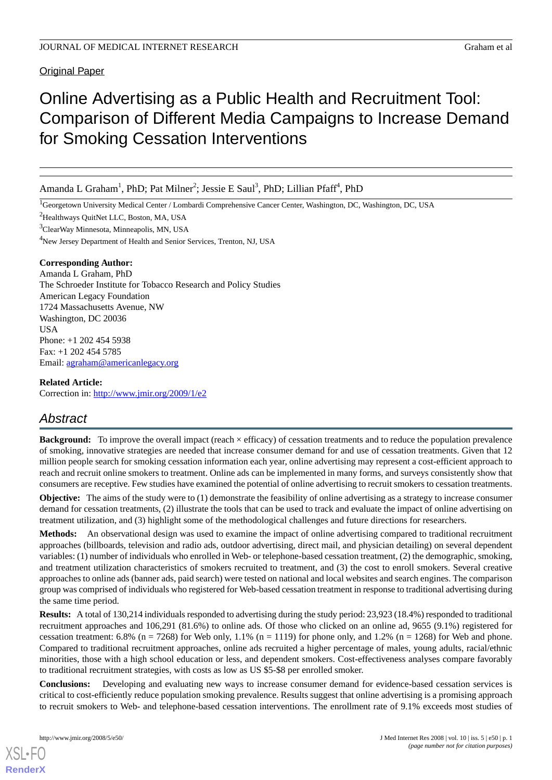**Original Paper** 

# Online Advertising as a Public Health and Recruitment Tool: Comparison of Different Media Campaigns to Increase Demand for Smoking Cessation Interventions

Amanda L Graham<sup>1</sup>, PhD; Pat Milner<sup>2</sup>; Jessie E Saul<sup>3</sup>, PhD; Lillian Pfaff<sup>4</sup>, PhD

<sup>1</sup>Georgetown University Medical Center / Lombardi Comprehensive Cancer Center, Washington, DC, Washington, DC, USA

<sup>2</sup>Healthways QuitNet LLC, Boston, MA, USA

<sup>3</sup>ClearWay Minnesota, Minneapolis, MN, USA

<sup>4</sup>New Jersey Department of Health and Senior Services, Trenton, NJ, USA

## **Corresponding Author:**

Amanda L Graham, PhD The Schroeder Institute for Tobacco Research and Policy Studies American Legacy Foundation 1724 Massachusetts Avenue, NW Washington, DC 20036 **IISA** Phone: +1 202 454 5938 Fax: +1 202 454 5785 Email: [agraham@americanlegacy.org](mailto:agraham@americanlegacy.org)

## **Related Article:**

Correction in: <http://www.jmir.org/2009/1/e2>

## *Abstract*

**Background:** To improve the overall impact (reach  $\times$  efficacy) of cessation treatments and to reduce the population prevalence of smoking, innovative strategies are needed that increase consumer demand for and use of cessation treatments. Given that 12 million people search for smoking cessation information each year, online advertising may represent a cost-efficient approach to reach and recruit online smokers to treatment. Online ads can be implemented in many forms, and surveys consistently show that consumers are receptive. Few studies have examined the potential of online advertising to recruit smokers to cessation treatments.

**Objective:** The aims of the study were to (1) demonstrate the feasibility of online advertising as a strategy to increase consumer demand for cessation treatments, (2) illustrate the tools that can be used to track and evaluate the impact of online advertising on treatment utilization, and (3) highlight some of the methodological challenges and future directions for researchers.

**Methods:** An observational design was used to examine the impact of online advertising compared to traditional recruitment approaches (billboards, television and radio ads, outdoor advertising, direct mail, and physician detailing) on several dependent variables: (1) number of individuals who enrolled in Web- or telephone-based cessation treatment, (2) the demographic, smoking, and treatment utilization characteristics of smokers recruited to treatment, and (3) the cost to enroll smokers. Several creative approaches to online ads (banner ads, paid search) were tested on national and local websites and search engines. The comparison group was comprised of individuals who registered for Web-based cessation treatment in response to traditional advertising during the same time period.

**Results:** A total of 130,214 individuals responded to advertising during the study period: 23,923 (18.4%) responded to traditional recruitment approaches and 106,291 (81.6%) to online ads. Of those who clicked on an online ad, 9655 (9.1%) registered for cessation treatment: 6.8% (n = 7268) for Web only, 1.1% (n = 1119) for phone only, and 1.2% (n = 1268) for Web and phone. Compared to traditional recruitment approaches, online ads recruited a higher percentage of males, young adults, racial/ethnic minorities, those with a high school education or less, and dependent smokers. Cost-effectiveness analyses compare favorably to traditional recruitment strategies, with costs as low as US \$5-\$8 per enrolled smoker.

**Conclusions:** Developing and evaluating new ways to increase consumer demand for evidence-based cessation services is critical to cost-efficiently reduce population smoking prevalence. Results suggest that online advertising is a promising approach to recruit smokers to Web- and telephone-based cessation interventions. The enrollment rate of 9.1% exceeds most studies of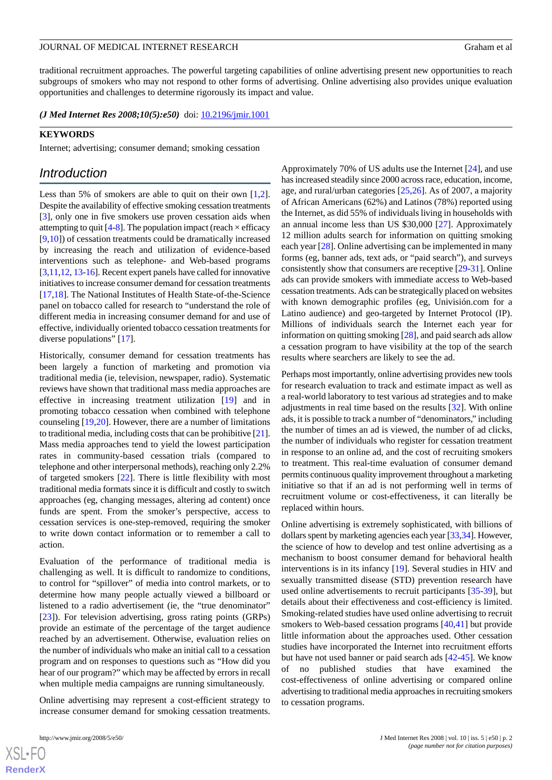traditional recruitment approaches. The powerful targeting capabilities of online advertising present new opportunities to reach subgroups of smokers who may not respond to other forms of advertising. Online advertising also provides unique evaluation opportunities and challenges to determine rigorously its impact and value.

*(J Med Internet Res 2008;10(5):e50)* doi:  $10.2196/jmir.1001$ 

#### **KEYWORDS**

Internet; advertising; consumer demand; smoking cessation

## *Introduction*

Less than 5% of smokers are able to quit on their own  $[1,2]$  $[1,2]$  $[1,2]$ . Despite the availability of effective smoking cessation treatments [[3\]](#page-10-0), only one in five smokers use proven cessation aids when attempting to quit [\[4](#page-10-1)[-8](#page-10-2)]. The population impact (reach  $\times$  efficacy [[9](#page-10-3)[,10](#page-10-4)]) of cessation treatments could be dramatically increased by increasing the reach and utilization of evidence-based interventions such as telephone- and Web-based programs [[3,](#page-10-0)[11](#page-10-5)[,12](#page-10-6), [13](#page-10-7)-[16](#page-10-8)]. Recent expert panels have called for innovative initiatives to increase consumer demand for cessation treatments [[17](#page-10-9)[,18](#page-10-10)]. The National Institutes of Health State-of-the-Science panel on tobacco called for research to "understand the role of different media in increasing consumer demand for and use of effective, individually oriented tobacco cessation treatments for diverse populations" [\[17](#page-10-9)].

Historically, consumer demand for cessation treatments has been largely a function of marketing and promotion via traditional media (ie, television, newspaper, radio). Systematic reviews have shown that traditional mass media approaches are effective in increasing treatment utilization [\[19](#page-10-11)] and in promoting tobacco cessation when combined with telephone counseling [\[19](#page-10-11),[20\]](#page-10-12). However, there are a number of limitations to traditional media, including costs that can be prohibitive [\[21\]](#page-10-13). Mass media approaches tend to yield the lowest participation rates in community-based cessation trials (compared to telephone and other interpersonal methods), reaching only 2.2% of targeted smokers [[22\]](#page-10-14). There is little flexibility with most traditional media formats since it is difficult and costly to switch approaches (eg, changing messages, altering ad content) once funds are spent. From the smoker's perspective, access to cessation services is one-step-removed, requiring the smoker to write down contact information or to remember a call to action.

Evaluation of the performance of traditional media is challenging as well. It is difficult to randomize to conditions, to control for "spillover" of media into control markets, or to determine how many people actually viewed a billboard or listened to a radio advertisement (ie, the "true denominator" [[23\]](#page-10-15)). For television advertising, gross rating points (GRPs) provide an estimate of the percentage of the target audience reached by an advertisement. Otherwise, evaluation relies on the number of individuals who make an initial call to a cessation program and on responses to questions such as "How did you hear of our program?" which may be affected by errors in recall when multiple media campaigns are running simultaneously.

Online advertising may represent a cost-efficient strategy to increase consumer demand for smoking cessation treatments.

Approximately 70% of US adults use the Internet [[24\]](#page-10-16), and use has increased steadily since 2000 across race, education, income, age, and rural/urban categories [\[25](#page-10-17),[26\]](#page-10-18). As of 2007, a majority of African Americans (62%) and Latinos (78%) reported using the Internet, as did 55% of individuals living in households with an annual income less than US \$30,000 [\[27](#page-10-19)]. Approximately 12 million adults search for information on quitting smoking each year [\[28](#page-11-0)]. Online advertising can be implemented in many forms (eg, banner ads, text ads, or "paid search"), and surveys consistently show that consumers are receptive [\[29](#page-11-1)-[31\]](#page-11-2). Online ads can provide smokers with immediate access to Web-based cessation treatments. Ads can be strategically placed on websites with known demographic profiles (eg, Univisión.com for a Latino audience) and geo-targeted by Internet Protocol (IP). Millions of individuals search the Internet each year for information on quitting smoking [\[28\]](#page-11-0), and paid search ads allow a cessation program to have visibility at the top of the search results where searchers are likely to see the ad.

Perhaps most importantly, online advertising provides new tools for research evaluation to track and estimate impact as well as a real-world laboratory to test various ad strategies and to make adjustments in real time based on the results [\[32](#page-11-3)]. With online ads, it is possible to track a number of "denominators," including the number of times an ad is viewed, the number of ad clicks, the number of individuals who register for cessation treatment in response to an online ad, and the cost of recruiting smokers to treatment. This real-time evaluation of consumer demand permits continuous quality improvement throughout a marketing initiative so that if an ad is not performing well in terms of recruitment volume or cost-effectiveness, it can literally be replaced within hours.

Online advertising is extremely sophisticated, with billions of dollars spent by marketing agencies each year [[33,](#page-11-4)[34\]](#page-11-5). However, the science of how to develop and test online advertising as a mechanism to boost consumer demand for behavioral health interventions is in its infancy [\[19](#page-10-11)]. Several studies in HIV and sexually transmitted disease (STD) prevention research have used online advertisements to recruit participants [\[35](#page-11-6)[-39](#page-11-7)], but details about their effectiveness and cost-efficiency is limited. Smoking-related studies have used online advertising to recruit smokers to Web-based cessation programs [[40,](#page-11-8)[41\]](#page-11-9) but provide little information about the approaches used. Other cessation studies have incorporated the Internet into recruitment efforts but have not used banner or paid search ads [[42-](#page-11-10)[45\]](#page-11-11). We know of no published studies that have examined the cost-effectiveness of online advertising or compared online advertising to traditional media approaches in recruiting smokers to cessation programs.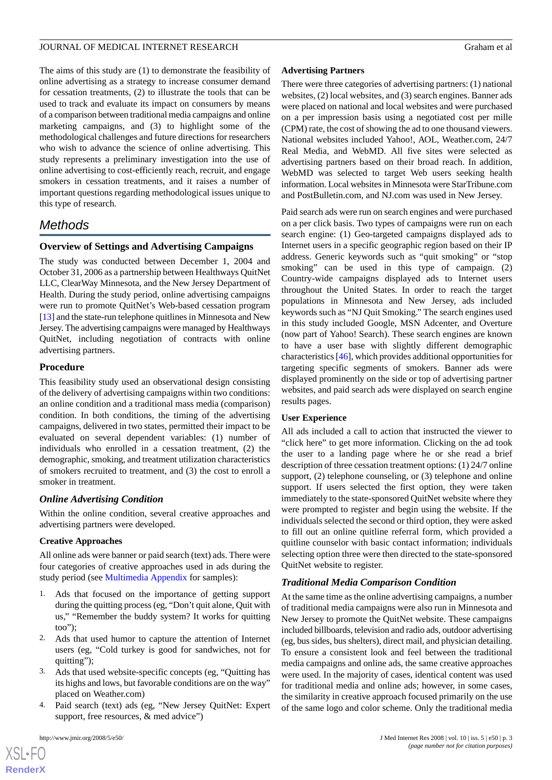The aims of this study are (1) to demonstrate the feasibility of online advertising as a strategy to increase consumer demand for cessation treatments, (2) to illustrate the tools that can be used to track and evaluate its impact on consumers by means of a comparison between traditional media campaigns and online marketing campaigns, and (3) to highlight some of the methodological challenges and future directions for researchers who wish to advance the science of online advertising. This study represents a preliminary investigation into the use of online advertising to cost-efficiently reach, recruit, and engage smokers in cessation treatments, and it raises a number of important questions regarding methodological issues unique to this type of research.

## *Methods*

## **Overview of Settings and Advertising Campaigns**

The study was conducted between December 1, 2004 and October 31, 2006 as a partnership between Healthways QuitNet LLC, ClearWay Minnesota, and the New Jersey Department of Health. During the study period, online advertising campaigns were run to promote QuitNet's Web-based cessation program [[13\]](#page-10-7) and the state-run telephone quitlines in Minnesota and New Jersey. The advertising campaigns were managed by Healthways QuitNet, including negotiation of contracts with online advertising partners.

## **Procedure**

This feasibility study used an observational design consisting of the delivery of advertising campaigns within two conditions: an online condition and a traditional mass media (comparison) condition. In both conditions, the timing of the advertising campaigns, delivered in two states, permitted their impact to be evaluated on several dependent variables: (1) number of individuals who enrolled in a cessation treatment, (2) the demographic, smoking, and treatment utilization characteristics of smokers recruited to treatment, and (3) the cost to enroll a smoker in treatment.

## *Online Advertising Condition*

Within the online condition, several creative approaches and advertising partners were developed.

## **Creative Approaches**

All online ads were banner or paid search (text) ads. There were four categories of creative approaches used in ads during the study period (see [Multimedia Appendix](#page-9-2) for samples):

- 1. Ads that focused on the importance of getting support during the quitting process (eg, "Don't quit alone, Quit with us," "Remember the buddy system? It works for quitting too");
- 2. Ads that used humor to capture the attention of Internet users (eg, "Cold turkey is good for sandwiches, not for quitting");
- 3. Ads that used website-specific concepts (eg, "Quitting has its highs and lows, but favorable conditions are on the way" placed on Weather.com)
- 4. Paid search (text) ads (eg, "New Jersey QuitNet: Expert support, free resources,  $\&$  med advice")

 $XS$ -FO **[RenderX](http://www.renderx.com/)**

## **Advertising Partners**

There were three categories of advertising partners: (1) national websites, (2) local websites, and (3) search engines. Banner ads were placed on national and local websites and were purchased on a per impression basis using a negotiated cost per mille (CPM) rate, the cost of showing the ad to one thousand viewers. National websites included Yahoo!, AOL, Weather.com, 24/7 Real Media, and WebMD. All five sites were selected as advertising partners based on their broad reach. In addition, WebMD was selected to target Web users seeking health information. Local websites in Minnesota were StarTribune.com and PostBulletin.com, and NJ.com was used in New Jersey.

Paid search ads were run on search engines and were purchased on a per click basis. Two types of campaigns were run on each search engine: (1) Geo-targeted campaigns displayed ads to Internet users in a specific geographic region based on their IP address. Generic keywords such as "quit smoking" or "stop smoking" can be used in this type of campaign. (2) Country-wide campaigns displayed ads to Internet users throughout the United States. In order to reach the target populations in Minnesota and New Jersey, ads included keywords such as "NJ Quit Smoking." The search engines used in this study included Google, MSN Adcenter, and Overture (now part of Yahoo! Search). These search engines are known to have a user base with slightly different demographic characteristics [[46](#page-11-12)], which provides additional opportunities for targeting specific segments of smokers. Banner ads were displayed prominently on the side or top of advertising partner websites, and paid search ads were displayed on search engine results pages.

## **User Experience**

All ads included a call to action that instructed the viewer to "click here" to get more information. Clicking on the ad took the user to a landing page where he or she read a brief description of three cessation treatment options: (1) 24/7 online support, (2) telephone counseling, or (3) telephone and online support. If users selected the first option, they were taken immediately to the state-sponsored QuitNet website where they were prompted to register and begin using the website. If the individuals selected the second or third option, they were asked to fill out an online quitline referral form, which provided a quitline counselor with basic contact information; individuals selecting option three were then directed to the state-sponsored QuitNet website to register.

## *Traditional Media Comparison Condition*

At the same time as the online advertising campaigns, a number of traditional media campaigns were also run in Minnesota and New Jersey to promote the QuitNet website. These campaigns included billboards, television and radio ads, outdoor advertising (eg, bus sides, bus shelters), direct mail, and physician detailing. To ensure a consistent look and feel between the traditional media campaigns and online ads, the same creative approaches were used. In the majority of cases, identical content was used for traditional media and online ads; however, in some cases, the similarity in creative approach focused primarily on the use of the same logo and color scheme. Only the traditional media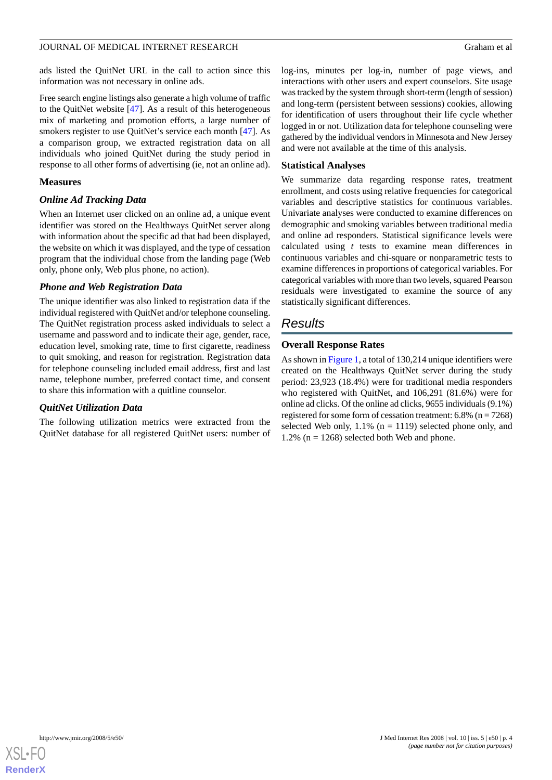ads listed the QuitNet URL in the call to action since this information was not necessary in online ads.

Free search engine listings also generate a high volume of traffic to the QuitNet website [\[47](#page-11-13)]. As a result of this heterogeneous mix of marketing and promotion efforts, a large number of smokers register to use QuitNet's service each month [\[47](#page-11-13)]. As a comparison group, we extracted registration data on all individuals who joined QuitNet during the study period in response to all other forms of advertising (ie, not an online ad).

## **Measures**

## *Online Ad Tracking Data*

When an Internet user clicked on an online ad, a unique event identifier was stored on the Healthways QuitNet server along with information about the specific ad that had been displayed, the website on which it was displayed, and the type of cessation program that the individual chose from the landing page (Web only, phone only, Web plus phone, no action).

#### *Phone and Web Registration Data*

The unique identifier was also linked to registration data if the individual registered with QuitNet and/or telephone counseling. The QuitNet registration process asked individuals to select a username and password and to indicate their age, gender, race, education level, smoking rate, time to first cigarette, readiness to quit smoking, and reason for registration. Registration data for telephone counseling included email address, first and last name, telephone number, preferred contact time, and consent to share this information with a quitline counselor.

## *QuitNet Utilization Data*

The following utilization metrics were extracted from the QuitNet database for all registered QuitNet users: number of log-ins, minutes per log-in, number of page views, and interactions with other users and expert counselors. Site usage was tracked by the system through short-term (length of session) and long-term (persistent between sessions) cookies, allowing for identification of users throughout their life cycle whether logged in or not. Utilization data for telephone counseling were gathered by the individual vendors in Minnesota and New Jersey and were not available at the time of this analysis.

#### **Statistical Analyses**

We summarize data regarding response rates, treatment enrollment, and costs using relative frequencies for categorical variables and descriptive statistics for continuous variables. Univariate analyses were conducted to examine differences on demographic and smoking variables between traditional media and online ad responders. Statistical significance levels were calculated using *t* tests to examine mean differences in continuous variables and chi-square or nonparametric tests to examine differences in proportions of categorical variables. For categorical variables with more than two levels, squared Pearson residuals were investigated to examine the source of any statistically significant differences.

## *Results*

#### **Overall Response Rates**

As shown in [Figure 1](#page-4-0), a total of 130,214 unique identifiers were created on the Healthways QuitNet server during the study period: 23,923 (18.4%) were for traditional media responders who registered with QuitNet, and 106,291 (81.6%) were for online ad clicks. Of the online ad clicks, 9655 individuals (9.1%) registered for some form of cessation treatment:  $6.8\%$  (n = 7268) selected Web only,  $1.1\%$  (n = 1119) selected phone only, and 1.2% ( $n = 1268$ ) selected both Web and phone.

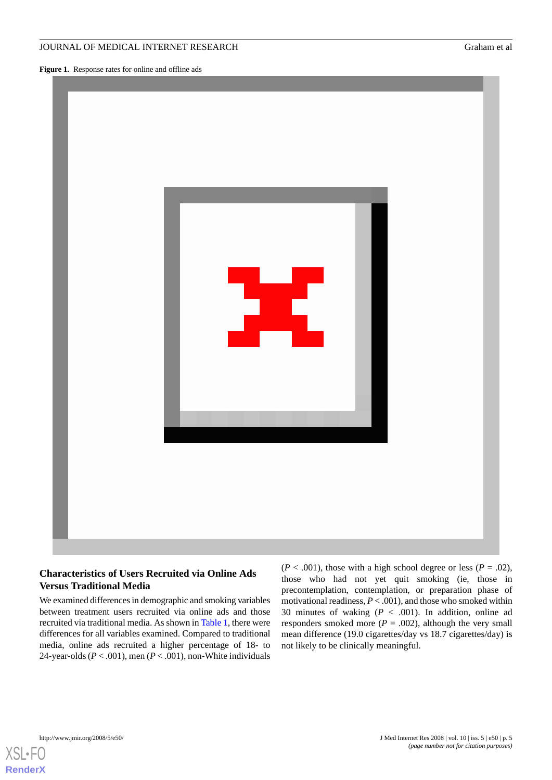## JOURNAL OF MEDICAL INTERNET RESEARCH GRAHAM ET ALL AND Graham et al.

<span id="page-4-0"></span>**Figure 1.** Response rates for online and offline ads



## **Characteristics of Users Recruited via Online Ads Versus Traditional Media**

We examined differences in demographic and smoking variables between treatment users recruited via online ads and those recruited via traditional media. As shown in [Table 1,](#page-5-0) there were differences for all variables examined. Compared to traditional media, online ads recruited a higher percentage of 18- to 24-year-olds ( $P < .001$ ), men ( $P < .001$ ), non-White individuals  $(P < .001)$ , those with a high school degree or less  $(P = .02)$ , those who had not yet quit smoking (ie, those in precontemplation, contemplation, or preparation phase of motivational readiness, *P* < .001), and those who smoked within 30 minutes of waking (*P* < .001). In addition, online ad responders smoked more  $(P = .002)$ , although the very small mean difference (19.0 cigarettes/day vs 18.7 cigarettes/day) is not likely to be clinically meaningful.



**[RenderX](http://www.renderx.com/)**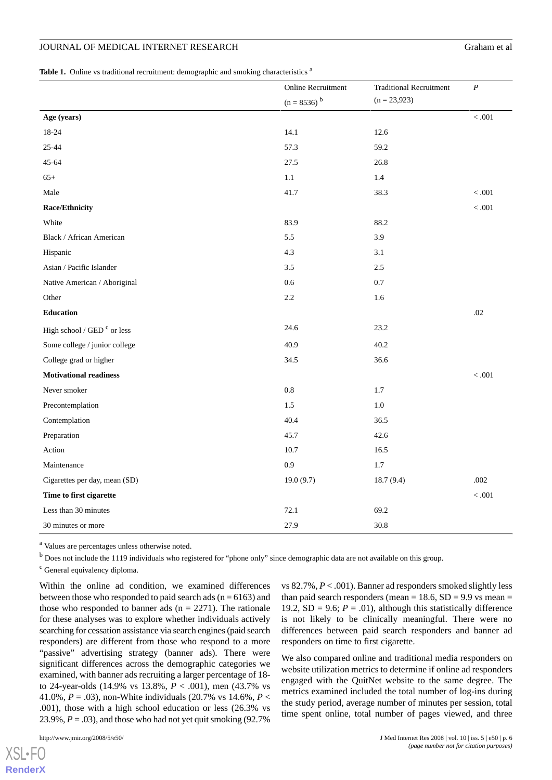## JOURNAL OF MEDICAL INTERNET RESEARCH GRAHAM ET ALL THE GRAHAM ET ALL THEORY OF GRAHAM ET ALL THEORY OF GRAHAM ET ALL THEORY OF GRAHAM ET ALL THEORY OF GRAHAM ET ALL THEORY OF GRAHAM ET ALL THEORY OF GRAHAM ET ALL THEORY OF

<span id="page-5-0"></span>Table 1. Online vs traditional recruitment: demographic and smoking characteristics<sup>a</sup>

|                                        | Online Recruitment        | <b>Traditional Recruitment</b> | $\boldsymbol{P}$ |
|----------------------------------------|---------------------------|--------------------------------|------------------|
|                                        | $(n = 8536)$ <sup>b</sup> | $(n = 23,923)$                 |                  |
| Age (years)                            |                           |                                | $<.001$          |
| 18-24                                  | 14.1                      | 12.6                           |                  |
| 25-44                                  | 57.3                      | 59.2                           |                  |
| 45-64                                  | 27.5                      | 26.8                           |                  |
| $65+$                                  | 1.1                       | 1.4                            |                  |
| Male                                   | 41.7                      | 38.3                           | < 0.001          |
| Race/Ethnicity                         |                           |                                | $<.001$          |
| White                                  | 83.9                      | 88.2                           |                  |
| Black / African American               | 5.5                       | 3.9                            |                  |
| Hispanic                               | 4.3                       | 3.1                            |                  |
| Asian / Pacific Islander               | 3.5                       | 2.5                            |                  |
| Native American / Aboriginal           | 0.6                       | 0.7                            |                  |
| Other                                  | 2.2                       | 1.6                            |                  |
| <b>Education</b>                       |                           |                                | .02              |
| High school / GED <sup>c</sup> or less | 24.6                      | 23.2                           |                  |
| Some college / junior college          | 40.9                      | 40.2                           |                  |
| College grad or higher                 | 34.5                      | 36.6                           |                  |
| <b>Motivational readiness</b>          |                           |                                | < .001           |
| Never smoker                           | $0.8\,$                   | 1.7                            |                  |
| Precontemplation                       | 1.5                       | 1.0                            |                  |
| Contemplation                          | 40.4                      | 36.5                           |                  |
| Preparation                            | 45.7                      | 42.6                           |                  |
| Action                                 | 10.7                      | 16.5                           |                  |
| Maintenance                            | 0.9                       | 1.7                            |                  |
| Cigarettes per day, mean (SD)          | 19.0(9.7)                 | 18.7(9.4)                      | .002             |
| Time to first cigarette                |                           |                                | $<.001$          |
| Less than 30 minutes                   | 72.1                      | 69.2                           |                  |
| 30 minutes or more                     | 27.9                      | 30.8                           |                  |
|                                        |                           |                                |                  |

<sup>a</sup> Values are percentages unless otherwise noted.

<sup>b</sup> Does not include the 1119 individuals who registered for "phone only" since demographic data are not available on this group.

<sup>c</sup> General equivalency diploma.

Within the online ad condition, we examined differences between those who responded to paid search ads ( $n = 6163$ ) and those who responded to banner ads  $(n = 2271)$ . The rationale for these analyses was to explore whether individuals actively searching for cessation assistance via search engines (paid search responders) are different from those who respond to a more "passive" advertising strategy (banner ads). There were significant differences across the demographic categories we examined, with banner ads recruiting a larger percentage of 18 to 24-year-olds (14.9% vs 13.8%, *P* < .001), men (43.7% vs 41.0%, *P* = .03), non-White individuals (20.7% vs 14.6%, *P* < .001), those with a high school education or less (26.3% vs 23.9%,  $P = .03$ ), and those who had not yet quit smoking (92.7%)

 $XS$ l • FC **[RenderX](http://www.renderx.com/)** vs 82.7%, *P* < .001). Banner ad responders smoked slightly less than paid search responders (mean =  $18.6$ , SD =  $9.9$  vs mean = 19.2,  $SD = 9.6$ ;  $P = .01$ ), although this statistically difference is not likely to be clinically meaningful. There were no differences between paid search responders and banner ad responders on time to first cigarette.

We also compared online and traditional media responders on website utilization metrics to determine if online ad responders engaged with the QuitNet website to the same degree. The metrics examined included the total number of log-ins during the study period, average number of minutes per session, total time spent online, total number of pages viewed, and three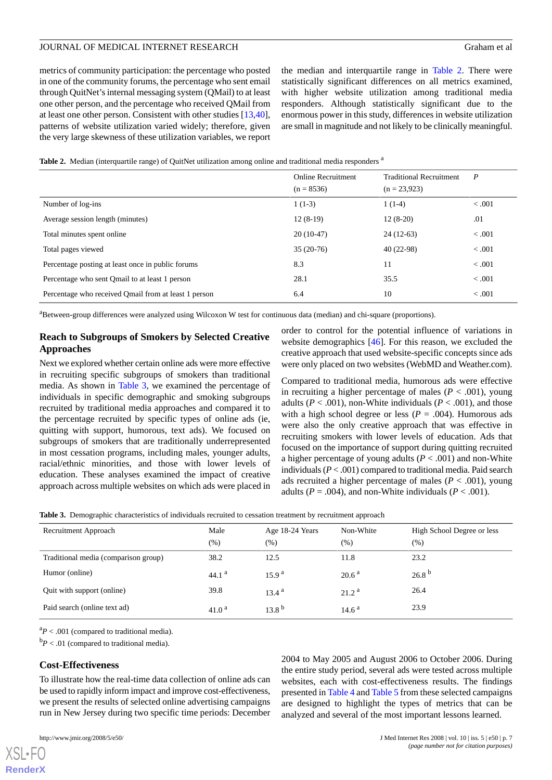metrics of community participation: the percentage who posted in one of the community forums, the percentage who sent email through QuitNet's internal messaging system (QMail) to at least one other person, and the percentage who received QMail from at least one other person. Consistent with other studies [\[13](#page-10-7),[40\]](#page-11-8), patterns of website utilization varied widely; therefore, given the very large skewness of these utilization variables, we report

the median and interquartile range in [Table 2](#page-6-0). There were statistically significant differences on all metrics examined, with higher website utilization among traditional media responders. Although statistically significant due to the enormous power in this study, differences in website utilization are small in magnitude and not likely to be clinically meaningful.

<span id="page-6-0"></span>

|  |  |  |  |  | Table 2. Median (interquartile range) of QuitNet utilization among online and traditional media responders <sup>a</sup> |
|--|--|--|--|--|-------------------------------------------------------------------------------------------------------------------------|
|--|--|--|--|--|-------------------------------------------------------------------------------------------------------------------------|

|                                                      | <b>Online Recruitment</b><br>$(n = 8536)$ | <b>Traditional Recruitment</b><br>$(n = 23.923)$ | $\boldsymbol{P}$ |
|------------------------------------------------------|-------------------------------------------|--------------------------------------------------|------------------|
| Number of log-ins                                    | $1(1-3)$                                  | $1(1-4)$                                         | < 0.001          |
| Average session length (minutes)                     | $12(8-19)$                                | $12(8-20)$                                       | .01              |
| Total minutes spent online                           | $20(10-47)$                               | $24(12-63)$                                      | < 0.001          |
| Total pages viewed                                   | $35(20-76)$                               | $40(22-98)$                                      | < 0.001          |
| Percentage posting at least once in public forums    | 8.3                                       | 11                                               | < 0.001          |
| Percentage who sent Qmail to at least 1 person       | 28.1                                      | 35.5                                             | < 0.001          |
| Percentage who received Qmail from at least 1 person | 6.4                                       | 10                                               | < 0.001          |

<sup>a</sup>Between-group differences were analyzed using Wilcoxon W test for continuous data (median) and chi-square (proportions).

## **Reach to Subgroups of Smokers by Selected Creative Approaches**

Next we explored whether certain online ads were more effective in recruiting specific subgroups of smokers than traditional media. As shown in [Table 3](#page-6-1), we examined the percentage of individuals in specific demographic and smoking subgroups recruited by traditional media approaches and compared it to the percentage recruited by specific types of online ads (ie, quitting with support, humorous, text ads). We focused on subgroups of smokers that are traditionally underrepresented in most cessation programs, including males, younger adults, racial/ethnic minorities, and those with lower levels of education. These analyses examined the impact of creative approach across multiple websites on which ads were placed in

order to control for the potential influence of variations in website demographics [\[46](#page-11-12)]. For this reason, we excluded the creative approach that used website-specific concepts since ads were only placed on two websites (WebMD and Weather.com).

Compared to traditional media, humorous ads were effective in recruiting a higher percentage of males  $(P < .001)$ , young adults ( $P < .001$ ), non-White individuals ( $P < .001$ ), and those with a high school degree or less ( $P = .004$ ). Humorous ads were also the only creative approach that was effective in recruiting smokers with lower levels of education. Ads that focused on the importance of support during quitting recruited a higher percentage of young adults  $(P < .001)$  and non-White individuals (*P* < .001) compared to traditional media. Paid search ads recruited a higher percentage of males  $(P < .001)$ , young adults ( $P = .004$ ), and non-White individuals ( $P < .001$ ).

<span id="page-6-1"></span>**Table 3.** Demographic characteristics of individuals recruited to cessation treatment by recruitment approach

| Recruitment Approach                 | Male              | Age 18-24 Years   | Non-White         | High School Degree or less |
|--------------------------------------|-------------------|-------------------|-------------------|----------------------------|
|                                      | (% )              | (% )              | (% )              | (% )                       |
| Traditional media (comparison group) | 38.2              | 12.5              | 11.8              | 23.2                       |
| Humor (online)                       | 44.1 <sup>a</sup> | 15.9 <sup>a</sup> | 20.6 <sup>a</sup> | 26.8 <sup>b</sup>          |
| Quit with support (online)           | 39.8              | $13.4^{a}$        | 21.2 <sup>a</sup> | 26.4                       |
| Paid search (online text ad)         | 41.0 <sup>a</sup> | $13.8^{b}$        | 14.6 <sup>a</sup> | 23.9                       |

 ${}^{a}P$  < .001 (compared to traditional media).

 $bP < .01$  (compared to traditional media).

## **Cost-Effectiveness**

To illustrate how the real-time data collection of online ads can be used to rapidly inform impact and improve cost-effectiveness, we present the results of selected online advertising campaigns run in New Jersey during two specific time periods: December

[XSL](http://www.w3.org/Style/XSL)•FO **[RenderX](http://www.renderx.com/)**

2004 to May 2005 and August 2006 to October 2006. During the entire study period, several ads were tested across multiple websites, each with cost-effectiveness results. The findings presented in [Table 4](#page-7-0) and [Table 5](#page-7-1) from these selected campaigns are designed to highlight the types of metrics that can be analyzed and several of the most important lessons learned.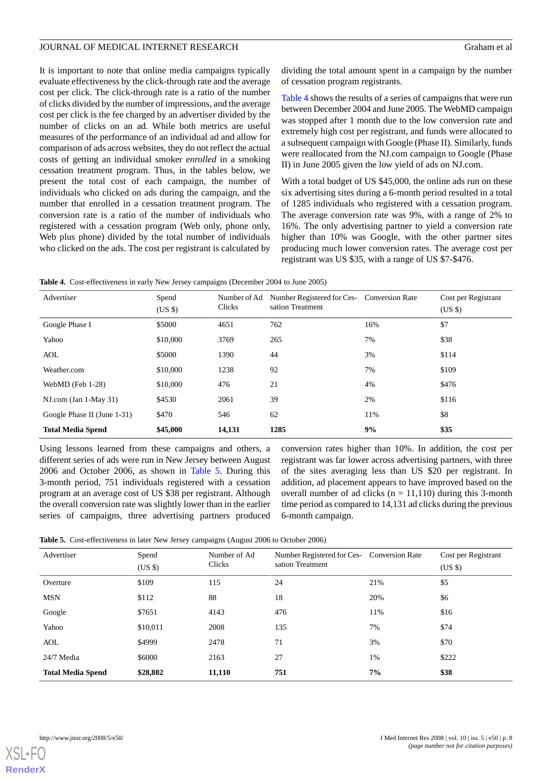It is important to note that online media campaigns typically evaluate effectiveness by the click-through rate and the average cost per click. The click-through rate is a ratio of the number of clicks divided by the number of impressions, and the average cost per click is the fee charged by an advertiser divided by the number of clicks on an ad. While both metrics are useful measures of the performance of an individual ad and allow for comparison of ads across websites, they do not reflect the actual costs of getting an individual smoker *enrolled* in a smoking cessation treatment program. Thus, in the tables below, we present the total cost of each campaign, the number of individuals who clicked on ads during the campaign, and the number that enrolled in a cessation treatment program. The conversion rate is a ratio of the number of individuals who registered with a cessation program (Web only, phone only, Web plus phone) divided by the total number of individuals who clicked on the ads. The cost per registrant is calculated by

dividing the total amount spent in a campaign by the number of cessation program registrants.

[Table 4](#page-7-0) shows the results of a series of campaigns that were run between December 2004 and June 2005. The WebMD campaign was stopped after 1 month due to the low conversion rate and extremely high cost per registrant, and funds were allocated to a subsequent campaign with Google (Phase II). Similarly, funds were reallocated from the NJ.com campaign to Google (Phase II) in June 2005 given the low yield of ads on NJ.com.

With a total budget of US \$45,000, the online ads run on these six advertising sites during a 6-month period resulted in a total of 1285 individuals who registered with a cessation program. The average conversion rate was 9%, with a range of 2% to 16%. The only advertising partner to yield a conversion rate higher than 10% was Google, with the other partner sites producing much lower conversion rates. The average cost per registrant was US \$35, with a range of US \$7-\$476.

<span id="page-7-0"></span>**Table 4.** Cost-effectiveness in early New Jersey campaigns (December 2004 to June 2005)

| Advertiser                  | Spend<br>(USS) | Number of Ad<br>Clicks | Number Registered for Ces- Conversion Rate<br>sation Treatment |     | Cost per Registrant<br>$(US \$ |
|-----------------------------|----------------|------------------------|----------------------------------------------------------------|-----|--------------------------------|
| Google Phase I              | \$5000         | 4651                   | 762                                                            | 16% | \$7                            |
| Yahoo                       | \$10,000       | 3769                   | 265                                                            | 7%  | \$38                           |
| AOL                         | \$5000         | 1390                   | 44                                                             | 3%  | \$114                          |
| Weather.com                 | \$10,000       | 1238                   | 92                                                             | 7%  | \$109                          |
| WebMD (Feb 1-28)            | \$10,000       | 476                    | 21                                                             | 4%  | \$476                          |
| $NI.com (Jan 1-May 31)$     | \$4530         | 2061                   | 39                                                             | 2%  | \$116                          |
| Google Phase II (June 1-31) | \$470          | 546                    | 62                                                             | 11% | \$8                            |
| <b>Total Media Spend</b>    | \$45,000       | 14,131                 | 1285                                                           | 9%  | \$35                           |

<span id="page-7-1"></span>Using lessons learned from these campaigns and others, a different series of ads were run in New Jersey between August 2006 and October 2006, as shown in [Table 5](#page-7-1). During this 3-month period, 751 individuals registered with a cessation program at an average cost of US \$38 per registrant. Although the overall conversion rate was slightly lower than in the earlier series of campaigns, three advertising partners produced

conversion rates higher than 10%. In addition, the cost per registrant was far lower across advertising partners, with three of the sites averaging less than US \$20 per registrant. In addition, ad placement appears to have improved based on the overall number of ad clicks ( $n = 11,110$ ) during this 3-month time period as compared to 14,131 ad clicks during the previous 6-month campaign.

|  | Table 5. Cost-effectiveness in later New Jersey campaigns (August 2006 to October 2006) |  |  |  |  |  |  |  |  |
|--|-----------------------------------------------------------------------------------------|--|--|--|--|--|--|--|--|
|--|-----------------------------------------------------------------------------------------|--|--|--|--|--|--|--|--|

| Advertiser               | Spend<br>$(US \$ | Number of Ad<br>Clicks | Number Registered for Ces- Conversion Rate<br>sation Treatment |     | Cost per Registrant<br>$(US \$ |
|--------------------------|------------------|------------------------|----------------------------------------------------------------|-----|--------------------------------|
| Overture                 | \$109            | 115                    | 24                                                             | 21% | \$5                            |
| <b>MSN</b>               | \$112            | 88                     | 18                                                             | 20% | \$6                            |
| Google                   | \$7651           | 4143                   | 476                                                            | 11% | \$16                           |
| Yahoo                    | \$10,011         | 2008                   | 135                                                            | 7%  | \$74                           |
| AOL                      | \$4999           | 2478                   | 71                                                             | 3%  | \$70                           |
| 24/7 Media               | \$6000           | 2163                   | 27                                                             | 1%  | \$222                          |
| <b>Total Media Spend</b> | \$28,882         | 11,110                 | 751                                                            | 7%  | \$38                           |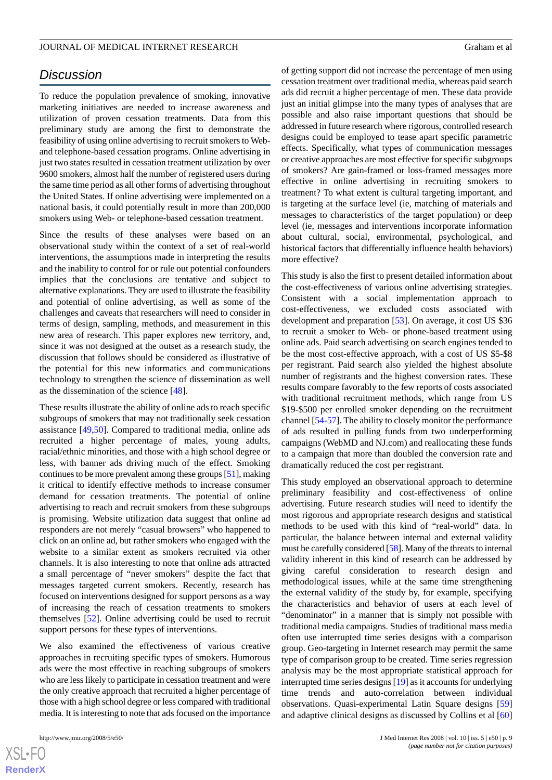## *Discussion*

To reduce the population prevalence of smoking, innovative marketing initiatives are needed to increase awareness and utilization of proven cessation treatments. Data from this preliminary study are among the first to demonstrate the feasibility of using online advertising to recruit smokers to Weband telephone-based cessation programs. Online advertising in just two states resulted in cessation treatment utilization by over 9600 smokers, almost half the number of registered users during the same time period as all other forms of advertising throughout the United States. If online advertising were implemented on a national basis, it could potentially result in more than 200,000 smokers using Web- or telephone-based cessation treatment.

Since the results of these analyses were based on an observational study within the context of a set of real-world interventions, the assumptions made in interpreting the results and the inability to control for or rule out potential confounders implies that the conclusions are tentative and subject to alternative explanations. They are used to illustrate the feasibility and potential of online advertising, as well as some of the challenges and caveats that researchers will need to consider in terms of design, sampling, methods, and measurement in this new area of research. This paper explores new territory, and, since it was not designed at the outset as a research study, the discussion that follows should be considered as illustrative of the potential for this new informatics and communications technology to strengthen the science of dissemination as well as the dissemination of the science [[48\]](#page-11-14).

These results illustrate the ability of online ads to reach specific subgroups of smokers that may not traditionally seek cessation assistance [[49](#page-11-15)[,50](#page-11-16)]. Compared to traditional media, online ads recruited a higher percentage of males, young adults, racial/ethnic minorities, and those with a high school degree or less, with banner ads driving much of the effect. Smoking continues to be more prevalent among these groups [[51\]](#page-11-17), making it critical to identify effective methods to increase consumer demand for cessation treatments. The potential of online advertising to reach and recruit smokers from these subgroups is promising. Website utilization data suggest that online ad responders are not merely "casual browsers" who happened to click on an online ad, but rather smokers who engaged with the website to a similar extent as smokers recruited via other channels. It is also interesting to note that online ads attracted a small percentage of "never smokers" despite the fact that messages targeted current smokers. Recently, research has focused on interventions designed for support persons as a way of increasing the reach of cessation treatments to smokers themselves [[52\]](#page-11-18). Online advertising could be used to recruit support persons for these types of interventions.

We also examined the effectiveness of various creative approaches in recruiting specific types of smokers. Humorous ads were the most effective in reaching subgroups of smokers who are less likely to participate in cessation treatment and were the only creative approach that recruited a higher percentage of those with a high school degree or less compared with traditional media. It is interesting to note that ads focused on the importance

of getting support did not increase the percentage of men using cessation treatment over traditional media, whereas paid search ads did recruit a higher percentage of men. These data provide just an initial glimpse into the many types of analyses that are possible and also raise important questions that should be addressed in future research where rigorous, controlled research designs could be employed to tease apart specific parametric effects. Specifically, what types of communication messages or creative approaches are most effective for specific subgroups of smokers? Are gain-framed or loss-framed messages more effective in online advertising in recruiting smokers to treatment? To what extent is cultural targeting important, and is targeting at the surface level (ie, matching of materials and messages to characteristics of the target population) or deep level (ie, messages and interventions incorporate information about cultural, social, environmental, psychological, and historical factors that differentially influence health behaviors) more effective?

This study is also the first to present detailed information about the cost-effectiveness of various online advertising strategies. Consistent with a social implementation approach to cost-effectiveness, we excluded costs associated with development and preparation [\[53](#page-12-0)]. On average, it cost US \$36 to recruit a smoker to Web- or phone-based treatment using online ads. Paid search advertising on search engines tended to be the most cost-effective approach, with a cost of US \$5-\$8 per registrant. Paid search also yielded the highest absolute number of registrants and the highest conversion rates. These results compare favorably to the few reports of costs associated with traditional recruitment methods, which range from US \$19-\$500 per enrolled smoker depending on the recruitment channel [[54-](#page-12-1)[57\]](#page-12-2). The ability to closely monitor the performance of ads resulted in pulling funds from two underperforming campaigns (WebMD and NJ.com) and reallocating these funds to a campaign that more than doubled the conversion rate and dramatically reduced the cost per registrant.

This study employed an observational approach to determine preliminary feasibility and cost-effectiveness of online advertising. Future research studies will need to identify the most rigorous and appropriate research designs and statistical methods to be used with this kind of "real-world" data. In particular, the balance between internal and external validity must be carefully considered [[58\]](#page-12-3). Many of the threats to internal validity inherent in this kind of research can be addressed by giving careful consideration to research design and methodological issues, while at the same time strengthening the external validity of the study by, for example, specifying the characteristics and behavior of users at each level of "denominator" in a manner that is simply not possible with traditional media campaigns. Studies of traditional mass media often use interrupted time series designs with a comparison group. Geo-targeting in Internet research may permit the same type of comparison group to be created. Time series regression analysis may be the most appropriate statistical approach for interrupted time series designs [\[19](#page-10-11)] as it accounts for underlying time trends and auto-correlation between individual observations. Quasi-experimental Latin Square designs [\[59](#page-12-4)] and adaptive clinical designs as discussed by Collins et al [\[60](#page-12-5)]

 $XS$  $\cdot$ FC **[RenderX](http://www.renderx.com/)**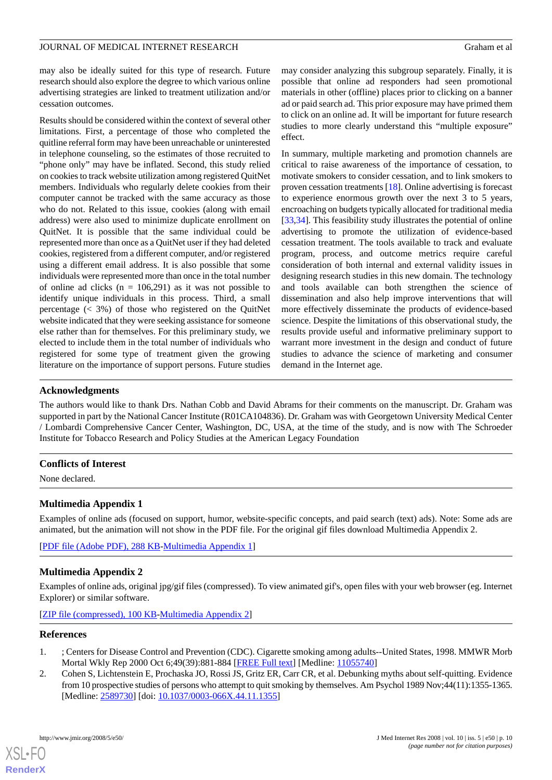may also be ideally suited for this type of research. Future research should also explore the degree to which various online advertising strategies are linked to treatment utilization and/or cessation outcomes.

Results should be considered within the context of several other limitations. First, a percentage of those who completed the quitline referral form may have been unreachable or uninterested in telephone counseling, so the estimates of those recruited to "phone only" may have be inflated. Second, this study relied on cookies to track website utilization among registered QuitNet members. Individuals who regularly delete cookies from their computer cannot be tracked with the same accuracy as those who do not. Related to this issue, cookies (along with email address) were also used to minimize duplicate enrollment on QuitNet. It is possible that the same individual could be represented more than once as a QuitNet user if they had deleted cookies, registered from a different computer, and/or registered using a different email address. It is also possible that some individuals were represented more than once in the total number of online ad clicks ( $n = 106,291$ ) as it was not possible to identify unique individuals in this process. Third, a small percentage (< 3%) of those who registered on the QuitNet website indicated that they were seeking assistance for someone else rather than for themselves. For this preliminary study, we elected to include them in the total number of individuals who registered for some type of treatment given the growing literature on the importance of support persons. Future studies may consider analyzing this subgroup separately. Finally, it is possible that online ad responders had seen promotional materials in other (offline) places prior to clicking on a banner ad or paid search ad. This prior exposure may have primed them to click on an online ad. It will be important for future research studies to more clearly understand this "multiple exposure" effect.

In summary, multiple marketing and promotion channels are critical to raise awareness of the importance of cessation, to motivate smokers to consider cessation, and to link smokers to proven cessation treatments [[18\]](#page-10-10). Online advertising is forecast to experience enormous growth over the next 3 to 5 years, encroaching on budgets typically allocated for traditional media [[33,](#page-11-4)[34\]](#page-11-5). This feasibility study illustrates the potential of online advertising to promote the utilization of evidence-based cessation treatment. The tools available to track and evaluate program, process, and outcome metrics require careful consideration of both internal and external validity issues in designing research studies in this new domain. The technology and tools available can both strengthen the science of dissemination and also help improve interventions that will more effectively disseminate the products of evidence-based science. Despite the limitations of this observational study, the results provide useful and informative preliminary support to warrant more investment in the design and conduct of future studies to advance the science of marketing and consumer demand in the Internet age.

## **Acknowledgments**

The authors would like to thank Drs. Nathan Cobb and David Abrams for their comments on the manuscript. Dr. Graham was supported in part by the National Cancer Institute (R01CA104836). Dr. Graham was with Georgetown University Medical Center / Lombardi Comprehensive Cancer Center, Washington, DC, USA, at the time of the study, and is now with The Schroeder Institute for Tobacco Research and Policy Studies at the American Legacy Foundation

## <span id="page-9-2"></span>**Conflicts of Interest**

None declared.

## **Multimedia Appendix 1**

Examples of online ads (focused on support, humor, website-specific concepts, and paid search (text) ads). Note: Some ads are animated, but the animation will not show in the PDF file. For the original gif files download Multimedia Appendix 2.

[[PDF file \(Adobe PDF\), 288 KB-Multimedia Appendix 1](https://jmir.org/api/download?alt_name=jmir_v10i5e50_app1.pdf&filename=9c0e054d900a26820701483bb96cbc7c.pdf)]

## **Multimedia Appendix 2**

<span id="page-9-0"></span>Examples of online ads, original jpg/gif files (compressed). To view animated gif's, open files with your web browser (eg. Internet Explorer) or similar software.

<span id="page-9-1"></span>[[ZIP file \(compressed\), 100 KB](https://jmir.org/api/download?alt_name=jmir_v10i5e50_app2.zip&filename=81e5ab0c46db2f3e244e63237b41e5ca.zip)-[Multimedia Appendix 2\]](https://jmir.org/api/download?alt_name=jmir_v10i5e50_app2.zip&filename=81e5ab0c46db2f3e244e63237b41e5ca.zip)

## **References**

- 1. ; Centers for Disease Control and Prevention (CDC). Cigarette smoking among adults--United States, 1998. MMWR Morb Mortal Wkly Rep 2000 Oct 6;49(39):881-884 [\[FREE Full text\]](http://www.cdc.gov/mmwr/preview/mmwrhtml/mm4939a1.htm) [Medline: [11055740\]](http://www.ncbi.nlm.nih.gov/entrez/query.fcgi?cmd=Retrieve&db=PubMed&list_uids=11055740&dopt=Abstract)
- 2. Cohen S, Lichtenstein E, Prochaska JO, Rossi JS, Gritz ER, Carr CR, et al. Debunking myths about self-quitting. Evidence from 10 prospective studies of persons who attempt to quit smoking by themselves. Am Psychol 1989 Nov;44(11):1355-1365. [Medline: [2589730\]](http://www.ncbi.nlm.nih.gov/entrez/query.fcgi?cmd=Retrieve&db=PubMed&list_uids=2589730&dopt=Abstract) [doi: [10.1037/0003-066X.44.11.1355](http://dx.doi.org/10.1037/0003-066X.44.11.1355)]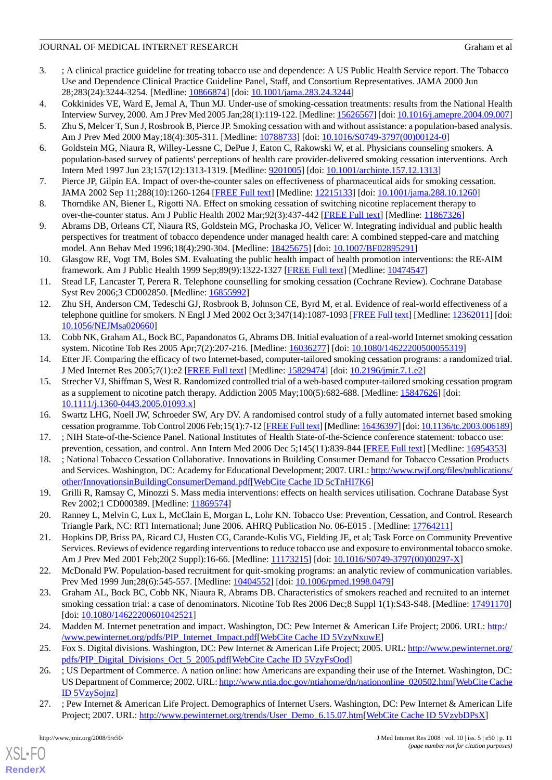## JOURNAL OF MEDICAL INTERNET RESEARCH GRAHAM ET ALL AND Graham et al.

- <span id="page-10-0"></span>3. ; A clinical practice guideline for treating tobacco use and dependence: A US Public Health Service report. The Tobacco Use and Dependence Clinical Practice Guideline Panel, Staff, and Consortium Representatives. JAMA 2000 Jun 28;283(24):3244-3254. [Medline: [10866874](http://www.ncbi.nlm.nih.gov/entrez/query.fcgi?cmd=Retrieve&db=PubMed&list_uids=10866874&dopt=Abstract)] [doi: [10.1001/jama.283.24.3244](http://dx.doi.org/10.1001/jama.283.24.3244)]
- <span id="page-10-1"></span>4. Cokkinides VE, Ward E, Jemal A, Thun MJ. Under-use of smoking-cessation treatments: results from the National Health Interview Survey, 2000. Am J Prev Med 2005 Jan;28(1):119-122. [Medline: [15626567\]](http://www.ncbi.nlm.nih.gov/entrez/query.fcgi?cmd=Retrieve&db=PubMed&list_uids=15626567&dopt=Abstract) [doi: [10.1016/j.amepre.2004.09.007](http://dx.doi.org/10.1016/j.amepre.2004.09.007)]
- 5. Zhu S, Melcer T, Sun J, Rosbrook B, Pierce JP. Smoking cessation with and without assistance: a population-based analysis. Am J Prev Med 2000 May;18(4):305-311. [Medline: [10788733](http://www.ncbi.nlm.nih.gov/entrez/query.fcgi?cmd=Retrieve&db=PubMed&list_uids=10788733&dopt=Abstract)] [doi: [10.1016/S0749-3797\(00\)00124-0\]](http://dx.doi.org/10.1016/S0749-3797(00)00124-0)
- 6. Goldstein MG, Niaura R, Willey-Lessne C, DePue J, Eaton C, Rakowski W, et al. Physicians counseling smokers. A population-based survey of patients' perceptions of health care provider-delivered smoking cessation interventions. Arch Intern Med 1997 Jun 23;157(12):1313-1319. [Medline: [9201005](http://www.ncbi.nlm.nih.gov/entrez/query.fcgi?cmd=Retrieve&db=PubMed&list_uids=9201005&dopt=Abstract)] [doi: [10.1001/archinte.157.12.1313](http://dx.doi.org/10.1001/archinte.157.12.1313)]
- <span id="page-10-2"></span>7. Pierce JP, Gilpin EA. Impact of over-the-counter sales on effectiveness of pharmaceutical aids for smoking cessation. JAMA 2002 Sep 11;288(10):1260-1264 [\[FREE Full text](http://jama.ama-assn.org/cgi/pmidlookup?view=long&pmid=12215133)] [Medline: [12215133](http://www.ncbi.nlm.nih.gov/entrez/query.fcgi?cmd=Retrieve&db=PubMed&list_uids=12215133&dopt=Abstract)] [doi: [10.1001/jama.288.10.1260\]](http://dx.doi.org/10.1001/jama.288.10.1260)
- <span id="page-10-3"></span>8. Thorndike AN, Biener L, Rigotti NA. Effect on smoking cessation of switching nicotine replacement therapy to over-the-counter status. Am J Public Health 2002 Mar;92(3):437-442 [[FREE Full text](http://www.ajph.org/cgi/pmidlookup?view=long&pmid=11867326)] [Medline: [11867326\]](http://www.ncbi.nlm.nih.gov/entrez/query.fcgi?cmd=Retrieve&db=PubMed&list_uids=11867326&dopt=Abstract)
- <span id="page-10-4"></span>9. Abrams DB, Orleans CT, Niaura RS, Goldstein MG, Prochaska JO, Velicer W. Integrating individual and public health perspectives for treatment of tobacco dependence under managed health care: A combined stepped-care and matching model. Ann Behav Med 1996;18(4):290-304. [Medline: [18425675](http://www.ncbi.nlm.nih.gov/entrez/query.fcgi?cmd=Retrieve&db=PubMed&list_uids=18425675&dopt=Abstract)] [doi: [10.1007/BF02895291](http://dx.doi.org/10.1007/BF02895291)]
- <span id="page-10-5"></span>10. Glasgow RE, Vogt TM, Boles SM. Evaluating the public health impact of health promotion interventions: the RE-AIM framework. Am J Public Health 1999 Sep;89(9):1322-1327 [\[FREE Full text](http://www.pubmedcentral.nih.gov/articlerender.fcgi?tool=pubmed&pubmedid=10474547)] [Medline: [10474547](http://www.ncbi.nlm.nih.gov/entrez/query.fcgi?cmd=Retrieve&db=PubMed&list_uids=10474547&dopt=Abstract)]
- <span id="page-10-6"></span>11. Stead LF, Lancaster T, Perera R. Telephone counselling for smoking cessation (Cochrane Review). Cochrane Database Syst Rev 2006;3 CD002850. [Medline: [16855992\]](http://www.ncbi.nlm.nih.gov/entrez/query.fcgi?cmd=Retrieve&db=PubMed&list_uids=16855992&dopt=Abstract)
- <span id="page-10-7"></span>12. Zhu SH, Anderson CM, Tedeschi GJ, Rosbrook B, Johnson CE, Byrd M, et al. Evidence of real-world effectiveness of a telephone quitline for smokers. N Engl J Med 2002 Oct 3;347(14):1087-1093 [[FREE Full text\]](http://content.nejm.org/cgi/pmidlookup?view=short&pmid=12362011&promo=ONFLNS19) [Medline: [12362011](http://www.ncbi.nlm.nih.gov/entrez/query.fcgi?cmd=Retrieve&db=PubMed&list_uids=12362011&dopt=Abstract)] [doi: [10.1056/NEJMsa020660](http://dx.doi.org/10.1056/NEJMsa020660)]
- 13. Cobb NK, Graham AL, Bock BC, Papandonatos G, Abrams DB. Initial evaluation of a real-world Internet smoking cessation system. Nicotine Tob Res 2005 Apr;7(2):207-216. [Medline: [16036277](http://www.ncbi.nlm.nih.gov/entrez/query.fcgi?cmd=Retrieve&db=PubMed&list_uids=16036277&dopt=Abstract)] [doi: [10.1080/14622200500055319\]](http://dx.doi.org/10.1080/14622200500055319)
- 14. Etter JF. Comparing the efficacy of two Internet-based, computer-tailored smoking cessation programs: a randomized trial. J Med Internet Res 2005;7(1):e2 [\[FREE Full text\]](http://www.jmir.org/2005/1/e2/) [Medline: [15829474](http://www.ncbi.nlm.nih.gov/entrez/query.fcgi?cmd=Retrieve&db=PubMed&list_uids=15829474&dopt=Abstract)] [doi: [10.2196/jmir.7.1.e2](http://dx.doi.org/10.2196/jmir.7.1.e2)]
- <span id="page-10-9"></span><span id="page-10-8"></span>15. Strecher VJ, Shiffman S, West R. Randomized controlled trial of a web-based computer-tailored smoking cessation program as a supplement to nicotine patch therapy. Addiction 2005 May;100(5):682-688. [Medline: [15847626](http://www.ncbi.nlm.nih.gov/entrez/query.fcgi?cmd=Retrieve&db=PubMed&list_uids=15847626&dopt=Abstract)] [doi: [10.1111/j.1360-0443.2005.01093.x\]](http://dx.doi.org/10.1111/j.1360-0443.2005.01093.x)
- <span id="page-10-10"></span>16. Swartz LHG, Noell JW, Schroeder SW, Ary DV. A randomised control study of a fully automated internet based smoking cessation programme. Tob Control 2006 Feb;15(1):7-12 [\[FREE Full text\]](http://tc.bmjjournals.com/cgi/pmidlookup?view=long&pmid=16436397) [Medline: [16436397](http://www.ncbi.nlm.nih.gov/entrez/query.fcgi?cmd=Retrieve&db=PubMed&list_uids=16436397&dopt=Abstract)] [doi: [10.1136/tc.2003.006189\]](http://dx.doi.org/10.1136/tc.2003.006189)
- <span id="page-10-11"></span>17. ; NIH State-of-the-Science Panel. National Institutes of Health State-of-the-Science conference statement: tobacco use: prevention, cessation, and control. Ann Intern Med 2006 Dec 5;145(11):839-844 [\[FREE Full text\]](http://www.annals.org/cgi/pmidlookup?view=long&pmid=16954353) [Medline: [16954353](http://www.ncbi.nlm.nih.gov/entrez/query.fcgi?cmd=Retrieve&db=PubMed&list_uids=16954353&dopt=Abstract)]
- <span id="page-10-12"></span>18. ; National Tobacco Cessation Collaborative. Innovations in Building Consumer Demand for Tobacco Cessation Products and Services. Washington, DC: Academy for Educational Development; 2007. URL: [http://www.rwjf.org/files/publications/](http://www.rwjf.org/files/publications/other/InnovationsinBuildingConsumerDemand.pdf) [other/InnovationsinBuildingConsumerDemand.pdf](http://www.rwjf.org/files/publications/other/InnovationsinBuildingConsumerDemand.pdf)[[WebCite Cache ID 5cTnHI7K6\]](http://www.webcitation.org/

                                    5cTnHI7K6)
- <span id="page-10-13"></span>19. Grilli R, Ramsay C, Minozzi S. Mass media interventions: effects on health services utilisation. Cochrane Database Syst Rev 2002;1 CD000389. [Medline: [11869574\]](http://www.ncbi.nlm.nih.gov/entrez/query.fcgi?cmd=Retrieve&db=PubMed&list_uids=11869574&dopt=Abstract)
- <span id="page-10-14"></span>20. Ranney L, Melvin C, Lux L, McClain E, Morgan L, Lohr KN. Tobacco Use: Prevention, Cessation, and Control. Research Triangle Park, NC: RTI International; June 2006. AHRQ Publication No. 06-E015 . [Medline: [17764211](http://www.ncbi.nlm.nih.gov/entrez/query.fcgi?cmd=Retrieve&db=PubMed&list_uids=17764211&dopt=Abstract)]
- <span id="page-10-15"></span>21. Hopkins DP, Briss PA, Ricard CJ, Husten CG, Carande-Kulis VG, Fielding JE, et al; Task Force on Community Preventive Services. Reviews of evidence regarding interventions to reduce tobacco use and exposure to environmental tobacco smoke. Am J Prev Med 2001 Feb;20(2 Suppl):16-66. [Medline: [11173215\]](http://www.ncbi.nlm.nih.gov/entrez/query.fcgi?cmd=Retrieve&db=PubMed&list_uids=11173215&dopt=Abstract) [doi: [10.1016/S0749-3797\(00\)00297-X](http://dx.doi.org/10.1016/S0749-3797(00)00297-X)]
- <span id="page-10-16"></span>22. McDonald PW. Population-based recruitment for quit-smoking programs: an analytic review of communication variables. Prev Med 1999 Jun;28(6):545-557. [Medline: [10404552\]](http://www.ncbi.nlm.nih.gov/entrez/query.fcgi?cmd=Retrieve&db=PubMed&list_uids=10404552&dopt=Abstract) [doi: [10.1006/pmed.1998.0479\]](http://dx.doi.org/10.1006/pmed.1998.0479)
- <span id="page-10-18"></span><span id="page-10-17"></span>23. Graham AL, Bock BC, Cobb NK, Niaura R, Abrams DB. Characteristics of smokers reached and recruited to an internet smoking cessation trial: a case of denominators. Nicotine Tob Res 2006 Dec;8 Suppl 1(1):S43-S48. [Medline: [17491170\]](http://www.ncbi.nlm.nih.gov/entrez/query.fcgi?cmd=Retrieve&db=PubMed&list_uids=17491170&dopt=Abstract) [doi: [10.1080/14622200601042521](http://dx.doi.org/10.1080/14622200601042521)]
- <span id="page-10-19"></span>24. Madden M. Internet penetration and impact. Washington, DC: Pew Internet & American Life Project; 2006. URL: [http:/](http://www.pewinternet.org/pdfs/PIP_Internet_Impact.pdf) [/www.pewinternet.org/pdfs/PIP\\_Internet\\_Impact.pdf](http://www.pewinternet.org/pdfs/PIP_Internet_Impact.pdf)[[WebCite Cache ID 5VzyNxuwE\]](http://www.webcitation.org/

                                    5VzyNxuwE)
- 25. Fox S. Digital divisions. Washington, DC: Pew Internet & American Life Project; 2005. URL: [http://www.pewinternet.org/](http://www.pewinternet.org/pdfs/PIP_Digital_Divisions_Oct_5_2005.pdf) [pdfs/PIP\\_Digital\\_Divisions\\_Oct\\_5\\_2005.pdf](http://www.pewinternet.org/pdfs/PIP_Digital_Divisions_Oct_5_2005.pdf)[\[WebCite Cache ID 5VzyFsOod\]](http://www.webcitation.org/

                                    5VzyFsOod)
- 26. ; US Department of Commerce. A nation online: how Americans are expanding their use of the Internet. Washington, DC: US Department of Commerce; 2002. URL: [http://www.ntia.doc.gov/ntiahome/dn/nationonline\\_020502.htm\[](http://www.ntia.doc.gov/ntiahome/dn/nationonline_020502.htm)[WebCite Cache](http://www.webcitation.org/

                                    5VzySojnz) [ID 5VzySojnz](http://www.webcitation.org/

                                    5VzySojnz)]
- 27. ; Pew Internet & American Life Project. Demographics of Internet Users. Washington, DC: Pew Internet & American Life Project; 2007. URL: [http://www.pewinternet.org/trends/User\\_Demo\\_6.15.07.htm\[](http://www.pewinternet.org/trends/User_Demo_6.15.07.htm)[WebCite Cache ID 5VzybDPsX\]](http://www.webcitation.org/

                                    5VzybDPsX)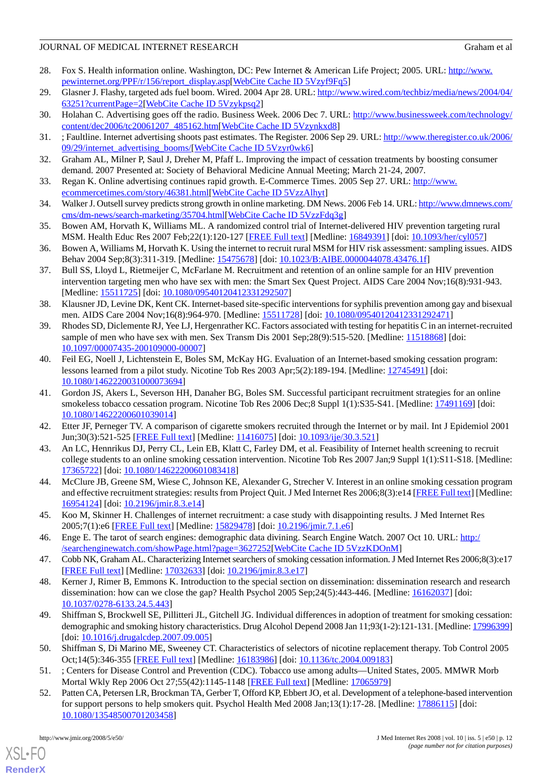## JOURNAL OF MEDICAL INTERNET RESEARCH GRAHAM ET ALL AND Graham et al.

- <span id="page-11-0"></span>28. Fox S. Health information online. Washington, DC: Pew Internet & American Life Project; 2005. URL: [http://www.](http://www.pewinternet.org/PPF/r/156/report_display.asp) [pewinternet.org/PPF/r/156/report\\_display.asp](http://www.pewinternet.org/PPF/r/156/report_display.asp)[[WebCite Cache ID 5Vzyf9Fq5\]](http://www.webcitation.org/

                                    5Vzyf9Fq5)
- <span id="page-11-1"></span>29. Glasner J. Flashy, targeted ads fuel boom. Wired. 2004 Apr 28. URL: [http://www.wired.com/techbiz/media/news/2004/04/](http://www.wired.com/techbiz/media/news/2004/04/63251?currentPage=2) [63251?currentPage=2](http://www.wired.com/techbiz/media/news/2004/04/63251?currentPage=2)[[WebCite Cache ID 5Vzykpsq2\]](http://www.webcitation.org/

                                    5Vzykpsq2)
- <span id="page-11-2"></span>30. Holahan C. Advertising goes off the radio. Business Week. 2006 Dec 7. URL: [http://www.businessweek.com/technology/](http://www.businessweek.com/technology/content/dec2006/tc20061207_485162.htm) [content/dec2006/tc20061207\\_485162.htm\[](http://www.businessweek.com/technology/content/dec2006/tc20061207_485162.htm)[WebCite Cache ID 5Vzynkxd8\]](http://www.webcitation.org/

                                    5Vzynkxd8)
- <span id="page-11-3"></span>31. ; Faultline. Internet advertising shoots past estimates. The Register. 2006 Sep 29. URL: [http://www.theregister.co.uk/2006/](http://www.theregister.co.uk/2006/09/29/internet_advertising_booms/) [09/29/internet\\_advertising\\_booms/](http://www.theregister.co.uk/2006/09/29/internet_advertising_booms/)[[WebCite Cache ID 5Vzyr0wk6\]](http://www.webcitation.org/

                                    5Vzyr0wk6)
- <span id="page-11-4"></span>32. Graham AL, Milner P, Saul J, Dreher M, Pfaff L. Improving the impact of cessation treatments by boosting consumer demand. 2007 Presented at: Society of Behavioral Medicine Annual Meeting; March 21-24, 2007.
- <span id="page-11-5"></span>33. Regan K. Online advertising continues rapid growth. E-Commerce Times. 2005 Sep 27. URL: [http://www.](http://www.ecommercetimes.com/story/46381.html) [ecommercetimes.com/story/46381.html](http://www.ecommercetimes.com/story/46381.html)[[WebCite Cache ID 5VzzAlhyt](http://www.webcitation.org/

                                    5VzzAlhyt)]
- <span id="page-11-6"></span>34. Walker J. Outsell survey predicts strong growth in online marketing. DM News. 2006 Feb 14. URL: [http://www.dmnews.com/](http://www.dmnews.com/cms/dm-news/search-marketing/35704.html) [cms/dm-news/search-marketing/35704.html](http://www.dmnews.com/cms/dm-news/search-marketing/35704.html)[[WebCite Cache ID 5VzzFdq3g](http://www.webcitation.org/

                                    5VzzFdq3g)]
- 35. Bowen AM, Horvath K, Williams ML. A randomized control trial of Internet-delivered HIV prevention targeting rural MSM. Health Educ Res 2007 Feb;22(1):120-127 [\[FREE Full text\]](http://her.oxfordjournals.org/cgi/pmidlookup?view=long&pmid=16849391) [Medline: [16849391\]](http://www.ncbi.nlm.nih.gov/entrez/query.fcgi?cmd=Retrieve&db=PubMed&list_uids=16849391&dopt=Abstract) [doi: [10.1093/her/cyl057\]](http://dx.doi.org/10.1093/her/cyl057)
- 36. Bowen A, Williams M, Horvath K. Using the internet to recruit rural MSM for HIV risk assessment: sampling issues. AIDS Behav 2004 Sep;8(3):311-319. [Medline: [15475678](http://www.ncbi.nlm.nih.gov/entrez/query.fcgi?cmd=Retrieve&db=PubMed&list_uids=15475678&dopt=Abstract)] [doi: [10.1023/B:AIBE.0000044078.43476.1f](http://dx.doi.org/10.1023/B:AIBE.0000044078.43476.1f)]
- 37. Bull SS, Lloyd L, Rietmeijer C, McFarlane M. Recruitment and retention of an online sample for an HIV prevention intervention targeting men who have sex with men: the Smart Sex Quest Project. AIDS Care 2004 Nov;16(8):931-943. [Medline: [15511725](http://www.ncbi.nlm.nih.gov/entrez/query.fcgi?cmd=Retrieve&db=PubMed&list_uids=15511725&dopt=Abstract)] [doi: [10.1080/09540120412331292507\]](http://dx.doi.org/10.1080/09540120412331292507)
- <span id="page-11-7"></span>38. Klausner JD, Levine DK, Kent CK. Internet-based site-specific interventions for syphilis prevention among gay and bisexual men. AIDS Care 2004 Nov;16(8):964-970. [Medline: [15511728](http://www.ncbi.nlm.nih.gov/entrez/query.fcgi?cmd=Retrieve&db=PubMed&list_uids=15511728&dopt=Abstract)] [doi: [10.1080/09540120412331292471\]](http://dx.doi.org/10.1080/09540120412331292471)
- <span id="page-11-8"></span>39. Rhodes SD, Diclemente RJ, Yee LJ, Hergenrather KC. Factors associated with testing for hepatitis C in an internet-recruited sample of men who have sex with men. Sex Transm Dis 2001 Sep;28(9):515-520. [Medline: [11518868](http://www.ncbi.nlm.nih.gov/entrez/query.fcgi?cmd=Retrieve&db=PubMed&list_uids=11518868&dopt=Abstract)] [doi: [10.1097/00007435-200109000-00007](http://dx.doi.org/10.1097/00007435-200109000-00007)]
- <span id="page-11-9"></span>40. Feil EG, Noell J, Lichtenstein E, Boles SM, McKay HG. Evaluation of an Internet-based smoking cessation program: lessons learned from a pilot study. Nicotine Tob Res 2003 Apr;5(2):189-194. [Medline: [12745491](http://www.ncbi.nlm.nih.gov/entrez/query.fcgi?cmd=Retrieve&db=PubMed&list_uids=12745491&dopt=Abstract)] [doi: [10.1080/1462220031000073694\]](http://dx.doi.org/10.1080/1462220031000073694)
- <span id="page-11-10"></span>41. Gordon JS, Akers L, Severson HH, Danaher BG, Boles SM. Successful participant recruitment strategies for an online smokeless tobacco cessation program. Nicotine Tob Res 2006 Dec;8 Suppl 1(1):S35-S41. [Medline: [17491169\]](http://www.ncbi.nlm.nih.gov/entrez/query.fcgi?cmd=Retrieve&db=PubMed&list_uids=17491169&dopt=Abstract) [doi: [10.1080/14622200601039014\]](http://dx.doi.org/10.1080/14622200601039014)
- 42. Etter JF, Perneger TV. A comparison of cigarette smokers recruited through the Internet or by mail. Int J Epidemiol 2001 Jun;30(3):521-525 [[FREE Full text](http://ije.oxfordjournals.org/cgi/pmidlookup?view=long&pmid=11416075)] [Medline: [11416075\]](http://www.ncbi.nlm.nih.gov/entrez/query.fcgi?cmd=Retrieve&db=PubMed&list_uids=11416075&dopt=Abstract) [doi: [10.1093/ije/30.3.521](http://dx.doi.org/10.1093/ije/30.3.521)]
- <span id="page-11-11"></span>43. An LC, Hennrikus DJ, Perry CL, Lein EB, Klatt C, Farley DM, et al. Feasibility of Internet health screening to recruit college students to an online smoking cessation intervention. Nicotine Tob Res 2007 Jan;9 Suppl 1(1):S11-S18. [Medline: [17365722](http://www.ncbi.nlm.nih.gov/entrez/query.fcgi?cmd=Retrieve&db=PubMed&list_uids=17365722&dopt=Abstract)] [doi: [10.1080/14622200601083418](http://dx.doi.org/10.1080/14622200601083418)]
- <span id="page-11-12"></span>44. McClure JB, Greene SM, Wiese C, Johnson KE, Alexander G, Strecher V. Interest in an online smoking cessation program and effective recruitment strategies: results from Project Quit. J Med Internet Res 2006;8(3):e14 [[FREE Full text](http://www.jmir.org/2006/3/e14/)] [Medline: [16954124](http://www.ncbi.nlm.nih.gov/entrez/query.fcgi?cmd=Retrieve&db=PubMed&list_uids=16954124&dopt=Abstract)] [doi: [10.2196/jmir.8.3.e14](http://dx.doi.org/10.2196/jmir.8.3.e14)]
- <span id="page-11-14"></span><span id="page-11-13"></span>45. Koo M, Skinner H. Challenges of internet recruitment: a case study with disappointing results. J Med Internet Res 2005;7(1):e6 [\[FREE Full text](http://www.jmir.org/2005/1/e6/)] [Medline: [15829478](http://www.ncbi.nlm.nih.gov/entrez/query.fcgi?cmd=Retrieve&db=PubMed&list_uids=15829478&dopt=Abstract)] [doi: [10.2196/jmir.7.1.e6\]](http://dx.doi.org/10.2196/jmir.7.1.e6)
- 46. Enge E. The tarot of search engines: demographic data divining. Search Engine Watch. 2007 Oct 10. URL: [http:/](http://searchenginewatch.com/showPage.html?page=3627252) [/searchenginewatch.com/showPage.html?page=3627252](http://searchenginewatch.com/showPage.html?page=3627252)[[WebCite Cache ID 5VzzKDOnM](http://www.webcitation.org/

                                    5VzzKDOnM)]
- <span id="page-11-15"></span>47. Cobb NK, Graham AL. Characterizing Internet searchers of smoking cessation information. J Med Internet Res 2006;8(3):e17 [[FREE Full text](http://www.jmir.org/2006/3/e17/)] [Medline: [17032633](http://www.ncbi.nlm.nih.gov/entrez/query.fcgi?cmd=Retrieve&db=PubMed&list_uids=17032633&dopt=Abstract)] [doi: [10.2196/jmir.8.3.e17\]](http://dx.doi.org/10.2196/jmir.8.3.e17)
- <span id="page-11-16"></span>48. Kerner J, Rimer B, Emmons K. Introduction to the special section on dissemination: dissemination research and research dissemination: how can we close the gap? Health Psychol 2005 Sep;24(5):443-446. [Medline: [16162037\]](http://www.ncbi.nlm.nih.gov/entrez/query.fcgi?cmd=Retrieve&db=PubMed&list_uids=16162037&dopt=Abstract) [doi: [10.1037/0278-6133.24.5.443\]](http://dx.doi.org/10.1037/0278-6133.24.5.443)
- <span id="page-11-18"></span><span id="page-11-17"></span>49. Shiffman S, Brockwell SE, Pillitteri JL, Gitchell JG. Individual differences in adoption of treatment for smoking cessation: demographic and smoking history characteristics. Drug Alcohol Depend 2008 Jan 11;93(1-2):121-131. [Medline: [17996399\]](http://www.ncbi.nlm.nih.gov/entrez/query.fcgi?cmd=Retrieve&db=PubMed&list_uids=17996399&dopt=Abstract) [doi: [10.1016/j.drugalcdep.2007.09.005](http://dx.doi.org/10.1016/j.drugalcdep.2007.09.005)]
- 50. Shiffman S, Di Marino ME, Sweeney CT. Characteristics of selectors of nicotine replacement therapy. Tob Control 2005 Oct;14(5):346-355 [\[FREE Full text\]](http://tc.bmjjournals.com/cgi/pmidlookup?view=long&pmid=16183986) [Medline: [16183986\]](http://www.ncbi.nlm.nih.gov/entrez/query.fcgi?cmd=Retrieve&db=PubMed&list_uids=16183986&dopt=Abstract) [doi: [10.1136/tc.2004.009183](http://dx.doi.org/10.1136/tc.2004.009183)]
- 51. ; Centers for Disease Control and Prevention (CDC). Tobacco use among adults—United States, 2005. MMWR Morb Mortal Wkly Rep 2006 Oct 27;55(42):1145-1148 [\[FREE Full text\]](http://www.cdc.gov/mmwr/preview/mmwrhtml/mm5542a1.htm) [Medline: [17065979\]](http://www.ncbi.nlm.nih.gov/entrez/query.fcgi?cmd=Retrieve&db=PubMed&list_uids=17065979&dopt=Abstract)
- 52. Patten CA, Petersen LR, Brockman TA, Gerber T, Offord KP, Ebbert JO, et al. Development of a telephone-based intervention for support persons to help smokers quit. Psychol Health Med 2008 Jan;13(1):17-28. [Medline: [17886115](http://www.ncbi.nlm.nih.gov/entrez/query.fcgi?cmd=Retrieve&db=PubMed&list_uids=17886115&dopt=Abstract)] [doi: [10.1080/13548500701203458\]](http://dx.doi.org/10.1080/13548500701203458)

```
XSL•FO
```
**[RenderX](http://www.renderx.com/)**